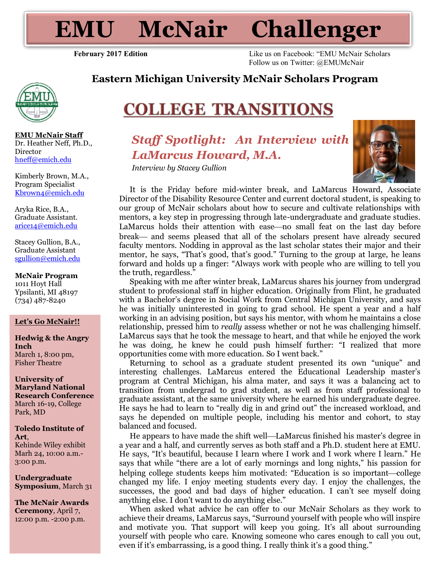**EMU McNair Challenger**

**February 2017 Edition** Like us on Facebook: "EMU McNair Scholars Follow us on Twitter: @EMUMcNair



**EMU McNair Staff** Dr. Heather Neff, Ph.D., Director [hneff@emich.edu](mailto:hneff@emich.edu)

Kimberly Brown, M.A., Program Specialist [Kbrown4@emich.edu](mailto:Kbrown4@emich.edu)

Aryka Rice, B.A., Graduate Assistant. [arice14@emich.edu](mailto:arice14@emich.edu)

Stacey Gullion, B.A., Graduate Assistant [sgullion@emich.edu](mailto:sgullion@emich.ed)

**McNair Program** 1011 Hoyt Hall Ypsilanti, MI 48197 (734) 487-8240

#### **Let's Go McNair!!**

**Hedwig & the Angry Inch** March 1, 8:00 pm, Fisher Theatre

**University of Maryland National Research Conference** March 16-19, College Park, MD

**Toledo Institute of Art**, Kehinde Wiley exhibit

Marh 24, 10:00 a.m.- 3:00 p.m.

**Undergraduate Symposium**, March 31

**The McNair Awards Ceremony***,* April 7, 12:00 p.m. -2:00 p.m.

# **COLLEGE TRANSITIONS**

# *Staff Spotlight: An Interview with LaMarcus Howard, M.A.*

**Eastern Michigan University McNair Scholars Program**

*Interview by Stacey Gullion*



It is the Friday before mid-winter break, and LaMarcus Howard, Associate Director of the Disability Resource Center and current doctoral student, is speaking to our group of McNair scholars about how to secure and cultivate relationships with mentors, a key step in progressing through late-undergraduate and graduate studies. LaMarcus holds their attention with ease—no small feat on the last day before break and seems pleased that all of the scholars present have already secured faculty mentors. Nodding in approval as the last scholar states their major and their mentor, he says, "That's good, that's good." Turning to the group at large, he leans forward and holds up a finger: "Always work with people who are willing to tell you the truth, regardless."

Speaking with me after winter break, LaMarcus shares his journey from undergrad student to professional staff in higher education. Originally from Flint, he graduated with a Bachelor's degree in Social Work from Central Michigan University, and says he was initially uninterested in going to grad school. He spent a year and a half working in an advising position, but says his mentor, with whom he maintains a close relationship, pressed him to *really* assess whether or not he was challenging himself. LaMarcus says that he took the message to heart, and that while he enjoyed the work he was doing, he knew he could push himself further: "I realized that more opportunities come with more education. So I went back."

Returning to school as a graduate student presented its own "unique" and interesting challenges. LaMarcus entered the Educational Leadership master's program at Central Michigan, his alma mater, and says it was a balancing act to transition from undergrad to grad student, as well as from staff professional to graduate assistant, at the same university where he earned his undergraduate degree. He says he had to learn to "really dig in and grind out" the increased workload, and says he depended on multiple people, including his mentor and cohort, to stay balanced and focused.

He appears to have made the shift well—LaMarcus finished his master's degree in a year and a half, and currently serves as both staff and a Ph.D. student here at EMU. He says, "It's beautiful, because I learn where I work and I work where I learn." He says that while "there are a lot of early mornings and long nights," his passion for helping college students keeps him motivated: "Education is so important-college changed my life. I enjoy meeting students every day. I enjoy the challenges, the successes, the good and bad days of higher education. I can't see myself doing anything else. I don't want to do anything else."

When asked what advice he can offer to our McNair Scholars as they work to achieve their dreams, LaMarcus says, "Surround yourself with people who will inspire and motivate you. That support will keep you going. It's all about surrounding yourself with people who care. Knowing someone who cares enough to call you out, even if it's embarrassing, is a good thing. I really think it's a good thing."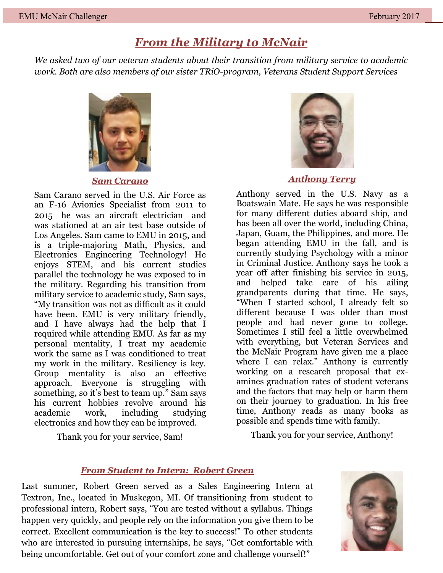# *From the Military to McNair*

*We asked two of our veteran students about their transition from military service to academic work. Both are also members of our sister TRiO-program, Veterans Student Support Services*



*Sam Carano*

Sam Carano served in the U.S. Air Force as an F-16 Avionics Specialist from 2011 to 2015—he was an aircraft electrician—and was stationed at an air test base outside of Los Angeles. Sam came to EMU in 2015, and is a triple-majoring Math, Physics, and Electronics Engineering Technology! He enjoys STEM, and his current studies parallel the technology he was exposed to in the military. Regarding his transition from military service to academic study, Sam says, "My transition was not as difficult as it could have been. EMU is very military friendly, and I have always had the help that I required while attending EMU. As far as my personal mentality, I treat my academic work the same as I was conditioned to treat my work in the military. Resiliency is key. Group mentality is also an effective approach. Everyone is struggling with something, so it's best to team up." Sam says his current hobbies revolve around his academic work, including studying electronics and how they can be improved.

Thank you for your service, Sam!



*Anthony Terry*

Anthony served in the U.S. Navy as a Boatswain Mate. He says he was responsible for many different duties aboard ship, and has been all over the world, including China, Japan, Guam, the Philippines, and more. He began attending EMU in the fall, and is currently studying Psychology with a minor in Criminal Justice. Anthony says he took a year off after finishing his service in 2015, and helped take care of his ailing grandparents during that time. He says, "When I started school, I already felt so different because I was older than most people and had never gone to college. Sometimes I still feel a little overwhelmed with everything, but Veteran Services and the McNair Program have given me a place where I can relax." Anthony is currently working on a research proposal that examines graduation rates of student veterans and the factors that may help or harm them on their journey to graduation. In his free time, Anthony reads as many books as possible and spends time with family.

Thank you for your service, Anthony!

### *From Student to Intern: Robert Green*

Last summer, Robert Green served as a Sales Engineering Intern at Textron, Inc., located in Muskegon, MI. Of transitioning from student to professional intern, Robert says, "You are tested without a syllabus. Things happen very quickly, and people rely on the information you give them to be correct. Excellent communication is the key to success!" To other students who are interested in pursuing internships, he says, "Get comfortable with being uncomfortable. Get out of your comfort zone and challenge yourself!"

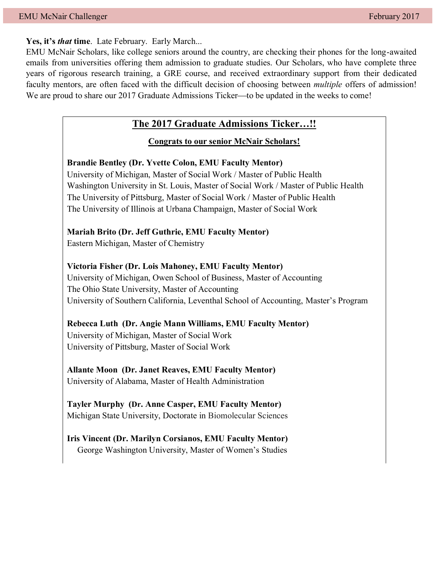**Yes, it's** *that* **time**. Late February. Early March...

EMU McNair Scholars, like college seniors around the country, are checking their phones for the long-awaited emails from universities offering them admission to graduate studies. Our Scholars, who have complete three years of rigorous research training, a GRE course, and received extraordinary support from their dedicated faculty mentors, are often faced with the difficult decision of choosing between *multiple* offers of admission! We are proud to share our 2017 Graduate Admissions Ticker—to be updated in the weeks to come!

## **The 2017 Graduate Admissions Ticker…!!**

#### **Congrats to our senior McNair Scholars!**

**Brandie Bentley (Dr. Yvette Colon, EMU Faculty Mentor)** University of Michigan, Master of Social Work / Master of Public Health

Washington University in St. Louis, Master of Social Work / Master of Public Health The University of Pittsburg, Master of Social Work / Master of Public Health The University of Illinois at Urbana Champaign, Master of Social Work

#### **Mariah Brito (Dr. Jeff Guthrie, EMU Faculty Mentor)**

Eastern Michigan, Master of Chemistry

**Victoria Fisher (Dr. Lois Mahoney, EMU Faculty Mentor)** University of Michigan, Owen School of Business, Master of Accounting The Ohio State University, Master of Accounting University of Southern California, Leventhal School of Accounting, Master's Program

**Rebecca Luth (Dr. Angie Mann Williams, EMU Faculty Mentor)** University of Michigan, Master of Social Work University of Pittsburg, Master of Social Work

**Allante Moon (Dr. Janet Reaves, EMU Faculty Mentor)** University of Alabama, Master of Health Administration

**Tayler Murphy (Dr. Anne Casper, EMU Faculty Mentor)** Michigan State University, Doctorate in Biomolecular Sciences

**Iris Vincent (Dr. Marilyn Corsianos, EMU Faculty Mentor)** George Washington University, Master of Women's Studies